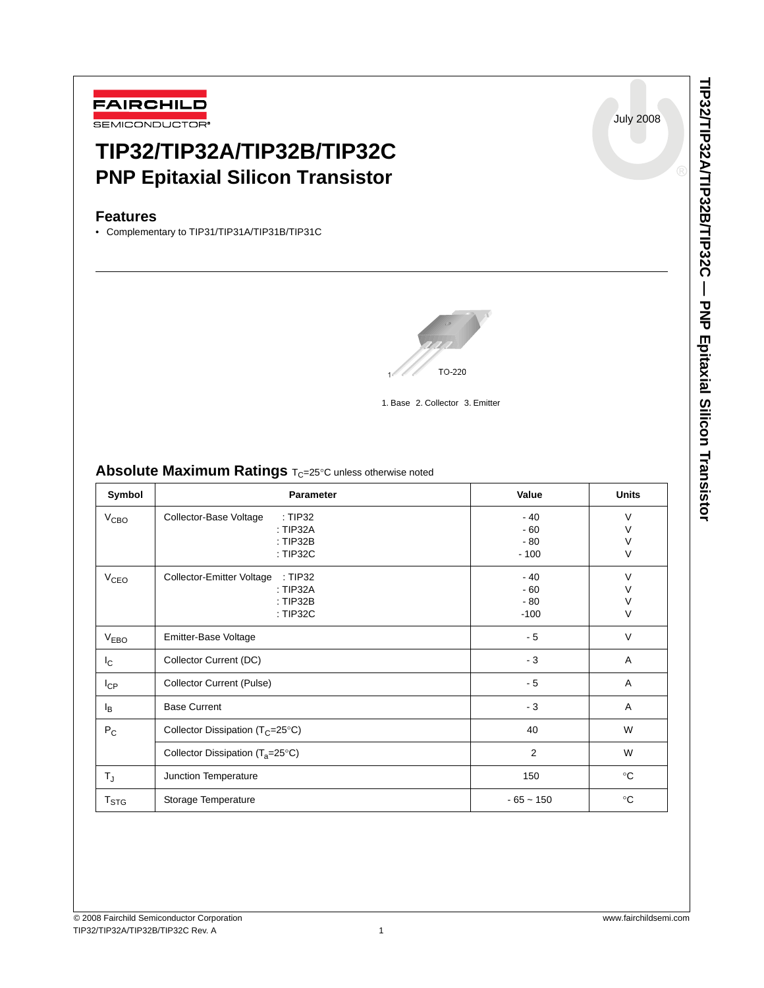

# **TIP32/TIP32A/TIP32B/TIP32C PNP Epitaxial Silicon Transistor**

## **Features**

• Complementary to TIP31/TIP31A/TIP31B/TIP31C



1. Base 2. Collector 3. Emitter

## **Absolute Maximum Ratings**  $T_C = 25^\circ C$  unless otherwise noted

| Symbol                 | Parameter                                                                  | Value                             | <b>Units</b>          |
|------------------------|----------------------------------------------------------------------------|-----------------------------------|-----------------------|
| V <sub>CBO</sub>       | Collector-Base Voltage<br>: TIP32<br>: TIP32A<br>: TIP32B<br>: TIP32C      | $-40$<br>$-60$<br>$-80$<br>$-100$ | V<br>V<br>$\vee$<br>V |
| <b>V<sub>CEO</sub></b> | Collector-Emitter Voltage<br>: TIP32<br>: TIP32A<br>: $TIP32B$<br>: TIP32C | $-40$<br>$-60$<br>$-80$<br>$-100$ | $\vee$<br>V<br>V<br>V |
| V <sub>EBO</sub>       | Emitter-Base Voltage                                                       | $-5$                              | V                     |
| $I_{\rm C}$            | Collector Current (DC)                                                     | $-3$                              | A                     |
| $I_{CP}$               | <b>Collector Current (Pulse)</b>                                           | $-5$                              | Α                     |
| l <sub>B</sub>         | <b>Base Current</b>                                                        | $-3$                              | Α                     |
| $P_C$                  | Collector Dissipation ( $T_C = 25^\circ C$ )                               | 40                                | W                     |
|                        | Collector Dissipation $(T_a=25^{\circ}C)$                                  | $\overline{2}$                    | W                     |
| $T_{\sf J}$            | Junction Temperature                                                       | 150                               | $^{\circ}C$           |
| T <sub>STG</sub>       | Storage Temperature                                                        | $-65 - 150$                       | $^{\circ}C$           |

July 2008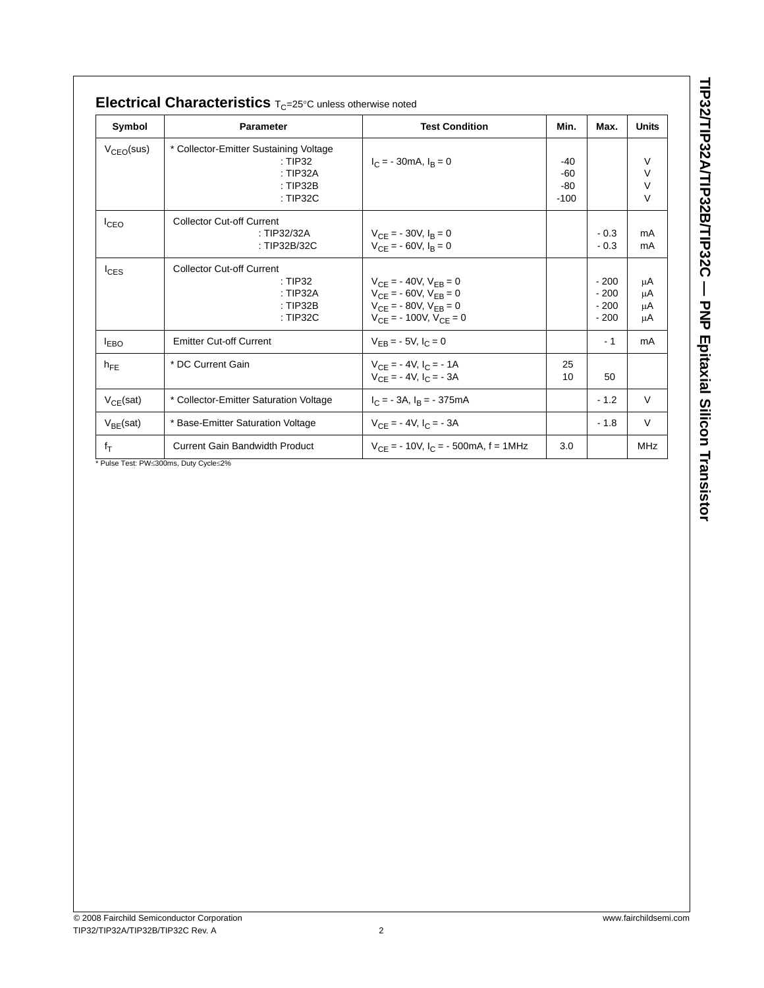| Symbol                       | Parameter                                                                             | <b>Test Condition</b>                                                                                                                 | Min.                            | Max.                                 | <b>Units</b>                    |
|------------------------------|---------------------------------------------------------------------------------------|---------------------------------------------------------------------------------------------------------------------------------------|---------------------------------|--------------------------------------|---------------------------------|
| $V_{\text{CEO}}(\text{sus})$ | * Collector-Emitter Sustaining Voltage<br>: TIP32<br>: TIP32A<br>: TIP32B<br>: TIP32C | $I_C$ = - 30mA, $I_B$ = 0                                                                                                             | $-40$<br>-60<br>$-80$<br>$-100$ |                                      | V<br>$\vee$<br>$\vee$<br>$\vee$ |
| $I_{CEO}$                    | <b>Collector Cut-off Current</b><br>: TIP32/32A<br>: TIP32B/32C                       | $V_{CE}$ = - 30V, $I_B$ = 0<br>$V_{CF}$ = - 60V, $I_B$ = 0                                                                            |                                 | $-0.3$<br>$-0.3$                     | mA<br>mA                        |
| $I_{CES}$                    | <b>Collector Cut-off Current</b><br>: TIP32<br>: TIP32A<br>$:$ TIP32B<br>: TIP32C     | $V_{CE}$ = - 40V, $V_{EB}$ = 0<br>$V_{CE}$ = - 60V, $V_{EB}$ = 0<br>$V_{CF}$ = - 80V, $V_{FB}$ = 0<br>$V_{CE}$ = - 100V, $V_{CE}$ = 0 |                                 | $-200$<br>$-200$<br>$-200$<br>$-200$ | μA<br>μA<br>μA<br>μA            |
| <b>LEBO</b>                  | <b>Emitter Cut-off Current</b>                                                        | $V_{FB} = -5V, I_C = 0$                                                                                                               |                                 | $-1$                                 | mA                              |
| $h_{FE}$                     | * DC Current Gain                                                                     | $V_{CF}$ = - 4V, $I_C$ = - 1A<br>$V_{CF}$ = - 4V, $I_C$ = - 3A                                                                        | 25<br>10                        | 50                                   |                                 |
| $V_{CE}(sat)$                | * Collector-Emitter Saturation Voltage                                                | $I_C = -3A$ , $I_B = -375mA$                                                                                                          |                                 | $-1.2$                               | V                               |
| $V_{BE}$ (sat)               | * Base-Emitter Saturation Voltage                                                     | $V_{CE}$ = - 4V, $I_C$ = - 3A                                                                                                         |                                 | $-1.8$                               | $\vee$                          |
| $f_T$                        | <b>Current Gain Bandwidth Product</b>                                                 | $V_{CF}$ = - 10V, $I_C$ = - 500mA, f = 1MHz                                                                                           | 3.0                             |                                      | MHz                             |

TIP32/TIP32A/TIP32B/TIP32C - PNP Epitaxial Silicon Transistor **TIP32/TIP32A/TIP32B/TIP32C — PNP Epitaxial Silicon Transistor**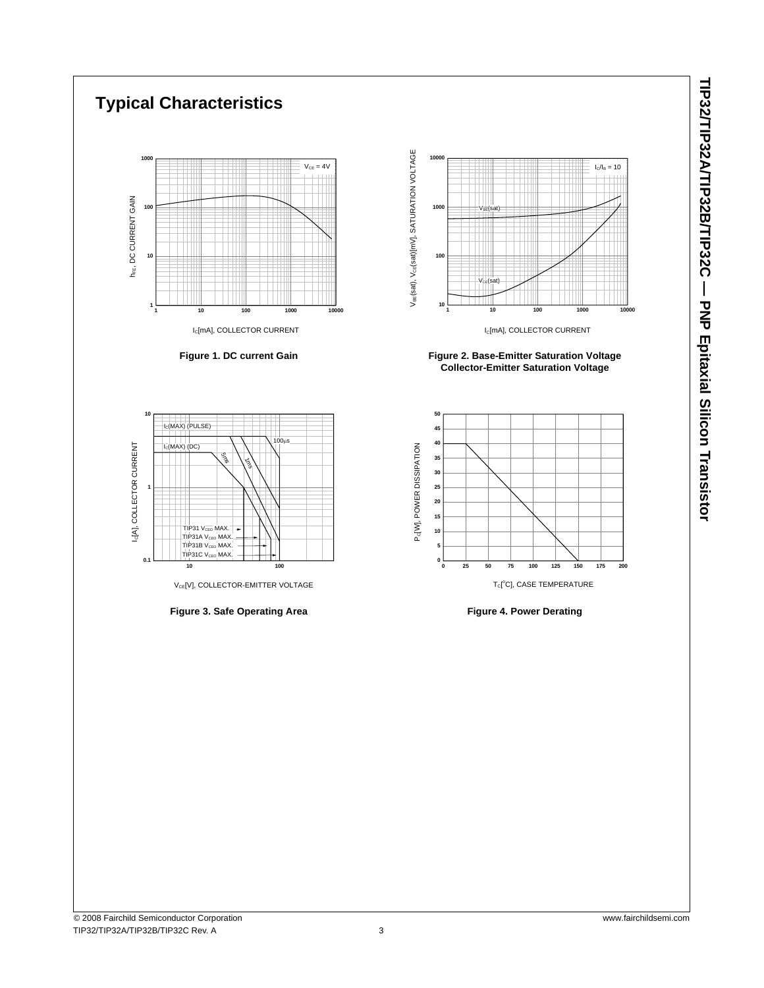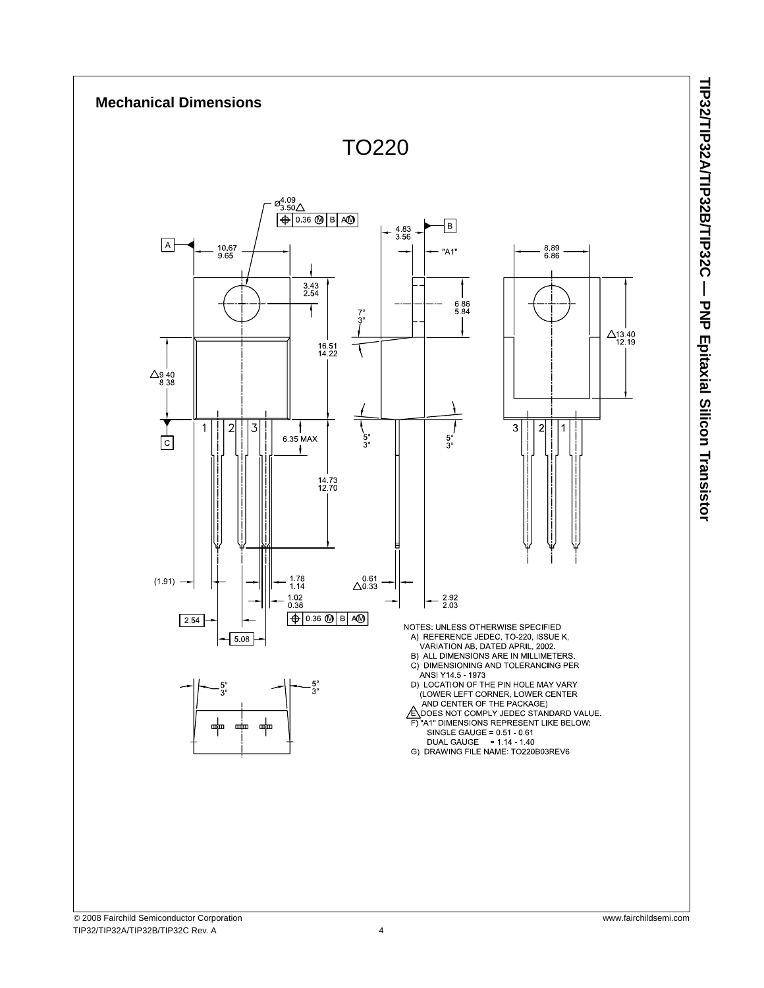